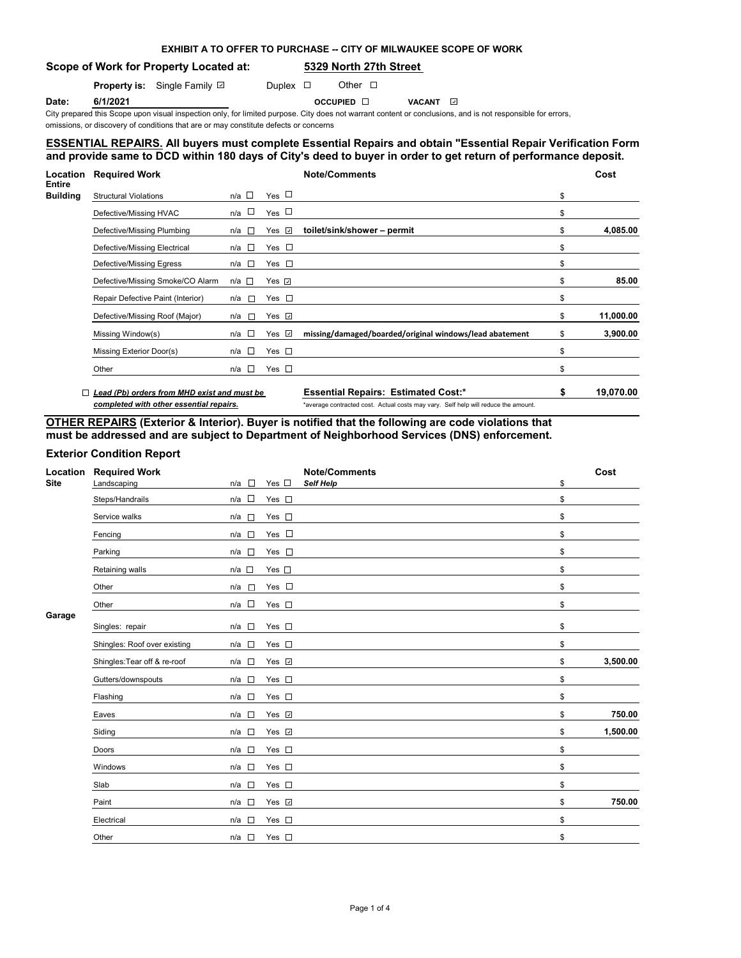| EXHIBIT A TO OFFER TO PURCHASE -- CITY OF MILWAUKEE SCOPE OF WORK |
|-------------------------------------------------------------------|
|-------------------------------------------------------------------|

# **Scope of Work for Property Located at: 5329 North 27th Street**

**Property is:** Single Family **D** Duplex **D** Other D

**Date: 6/1/2021 COCUPIED OCCUPIED OCCUPIED** 

City prepared this Scope upon visual inspection only, for limited purpose. City does not warrant content or conclusions, and is not responsible for errors,

omissions, or discovery of conditions that are or may constitute defects or concerns

## **ESSENTIAL REPAIRS. All buyers must complete Essential Repairs and obtain "Essential Repair Verification Form" and provide same to DCD within 180 days of City's deed to buyer in order to get return of performance deposit.**

| Location<br><b>Entire</b> | <b>Required Work</b>                               |                       |                    | <b>Note/Comments</b>                                    | Cost            |
|---------------------------|----------------------------------------------------|-----------------------|--------------------|---------------------------------------------------------|-----------------|
| <b>Building</b>           | <b>Structural Violations</b>                       | $n/a$ $\square$       | Yes $\Box$         |                                                         | \$              |
|                           | Defective/Missing HVAC                             | n/a $\square$         | Yes $\Box$         |                                                         | \$              |
|                           | Defective/Missing Plumbing                         | n/a □                 | Yes $\overline{v}$ | toilet/sink/shower - permit                             | \$<br>4,085.00  |
|                           | Defective/Missing Electrical                       | n/a $\square$         | Yes $\square$      |                                                         | \$              |
|                           | Defective/Missing Egress                           | n/a □                 | Yes $\square$      |                                                         | \$              |
|                           | Defective/Missing Smoke/CO Alarm                   | n/a □                 | Yes $\sqrt{ }$     |                                                         | \$<br>85.00     |
|                           | Repair Defective Paint (Interior)                  | n/a □                 | Yes $\square$      |                                                         | \$              |
|                           | Defective/Missing Roof (Major)                     | $\overline{a}$<br>n/a | Yes $\Box$         |                                                         | \$<br>11,000.00 |
|                           | Missing Window(s)                                  | n/a □                 | Yes $\Box$         | missing/damaged/boarded/original windows/lead abatement | \$<br>3,900.00  |
|                           | Missing Exterior Door(s)                           | n/a □                 | Yes $\square$      |                                                         | \$              |
|                           | Other                                              | n/a □                 | Yes $\square$      |                                                         | \$              |
|                           | $\Box$ Lead (Pb) orders from MHD exist and must be |                       |                    | <b>Essential Repairs: Estimated Cost:*</b>              | 19,070.00       |

*completed with other essential repairs.* \*average contracted cost. Actual costs may vary. Self help will reduce the amount.

# **OTHER REPAIRS (Exterior & Interior). Buyer is notified that the following are code violations that must be addressed and are subject to Department of Neighborhood Services (DNS) enforcement.**

## **Exterior Condition Report**

| Location<br><b>Site</b> | <b>Required Work</b><br>Landscaping | $\Box$<br>n/a   | Yes $\square$ | <b>Note/Comments</b><br>Self Help | \$<br>Cost     |
|-------------------------|-------------------------------------|-----------------|---------------|-----------------------------------|----------------|
|                         | Steps/Handrails                     | $\sim$<br>n/a   | Yes $\square$ |                                   | \$             |
|                         | Service walks                       | $n/a$ $\square$ | Yes $\square$ |                                   | \$             |
|                         | Fencing                             | $n/a$ $\square$ | Yes $\square$ |                                   | \$             |
|                         | Parking                             | n/a<br>$\sim$   | Yes $\square$ |                                   | \$             |
|                         | Retaining walls                     | n/a             | Yes $\square$ |                                   | \$             |
|                         | Other                               | n/a<br>Dist.    | Yes $\square$ |                                   | \$             |
|                         | Other                               | $n/a$ $\square$ | Yes $\square$ |                                   | \$             |
| Garage                  | Singles: repair                     | $n/a$ $\square$ | Yes $\square$ |                                   | \$             |
|                         | Shingles: Roof over existing        | $n/a$ $\square$ | Yes $\square$ |                                   | \$             |
|                         | Shingles: Tear off & re-roof        | n/a □           | Yes v         |                                   | \$<br>3,500.00 |
|                         | Gutters/downspouts                  | $n/a$ $\square$ | Yes $\square$ |                                   | \$             |
|                         | Flashing                            | n/a<br>$\sim$   | Yes $\square$ |                                   | \$             |
|                         | Eaves                               | n/a<br>$\Box$   | Yes v         |                                   | \$<br>750.00   |
|                         | Siding                              | $n/a$ $\square$ | Yes v         |                                   | \$<br>1,500.00 |
|                         | Doors                               | $n/a$ $\square$ | Yes $\square$ |                                   | \$             |
|                         | Windows                             | $\sim$<br>n/a   | Yes $\square$ |                                   | \$             |
|                         | Slab                                | n/a             | Yes $\square$ |                                   | \$             |
|                         | Paint                               | $n/a$ $\square$ | Yes v         |                                   | \$<br>750.00   |
|                         | Electrical                          | n/a<br>п        | Yes $\square$ |                                   | \$             |
|                         | Other                               | n/a<br>$\sim$   | Yes $\square$ |                                   | \$             |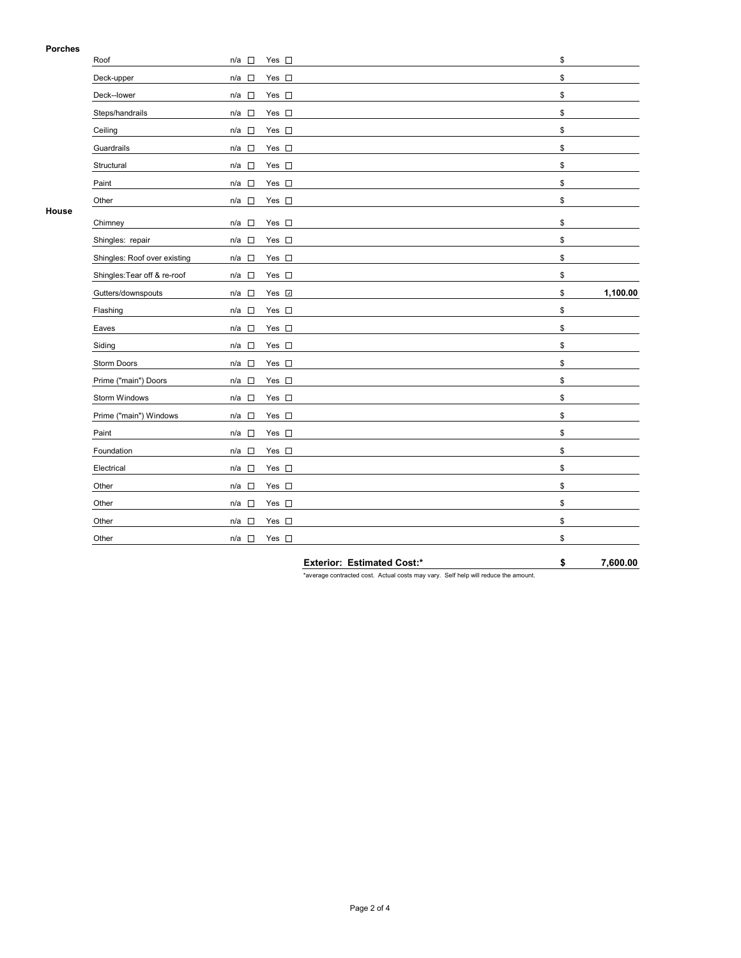### **Porches**

| гинны | Roof                         | $n/a$ $\square$                 | Yes $\square$      | \$ |          |
|-------|------------------------------|---------------------------------|--------------------|----|----------|
|       | Deck-upper                   | $\overline{\phantom{a}}$<br>n/a | Yes $\square$      | \$ |          |
|       | Deck--lower                  | $n/a$ $\square$                 | Yes $\square$      | \$ |          |
|       | Steps/handrails              | $n/a$ $\square$                 | Yes $\square$      | \$ |          |
|       | Ceiling                      | $n/a$ $\square$                 | Yes $\square$      | \$ |          |
|       | Guardrails                   | $n/a$ $\square$                 | Yes $\square$      | \$ |          |
|       | Structural                   | $\Box$<br>n/a                   | Yes $\square$      | \$ |          |
|       | Paint                        | $n/a$ $\square$                 | Yes $\square$      | \$ |          |
|       | Other                        | $n/a$ $\square$                 | Yes $\square$      | \$ |          |
| House | Chimney                      | n/a<br>$\sim$                   | Yes $\square$      | \$ |          |
|       | Shingles: repair             | n/a<br>$\sim$                   | Yes $\square$      | \$ |          |
|       | Shingles: Roof over existing | n/a                             | Yes $\square$      | \$ |          |
|       | Shingles: Tear off & re-roof | $n/a$ $\square$                 | Yes $\square$      | \$ |          |
|       | Gutters/downspouts           | $n/a$ $\square$                 | Yes $\overline{v}$ | \$ | 1,100.00 |
|       | Flashing                     | $n/a$ $\square$                 | Yes $\square$      | \$ |          |
|       | Eaves                        | $n/a$ $\square$                 | Yes $\square$      | \$ |          |
|       | Siding                       | n/a □                           | Yes $\square$      | \$ |          |
|       | <b>Storm Doors</b>           | $n/a$ $\square$                 | Yes $\square$      | \$ |          |
|       | Prime ("main") Doors         | $n/a$ $\square$                 | Yes $\square$      | \$ |          |
|       | Storm Windows                | $n/a$ $\square$                 | Yes $\square$      | \$ |          |
|       | Prime ("main") Windows       | n/a                             | Yes $\square$      | \$ |          |
|       | Paint                        | $n/a$ $\square$                 | Yes $\square$      | \$ |          |
|       | Foundation                   | n/a $\square$                   | Yes $\square$      | \$ |          |
|       | Electrical                   | n/a<br>$\overline{\phantom{a}}$ | Yes $\square$      | \$ |          |
|       | Other                        | n/a                             | Yes $\square$      | \$ |          |
|       | Other                        | $n/a$ $\square$                 | Yes $\square$      | \$ |          |
|       | Other                        | $\sim$<br>n/a                   | Yes $\square$      | \$ |          |
|       | Other                        | n/a $\square$                   | Yes $\square$      | \$ |          |
|       |                              |                                 |                    |    |          |

**Exterior: Estimated Cost:\* \$ 7,600.00**

\*average contracted cost. Actual costs may vary. Self help will reduce the amount.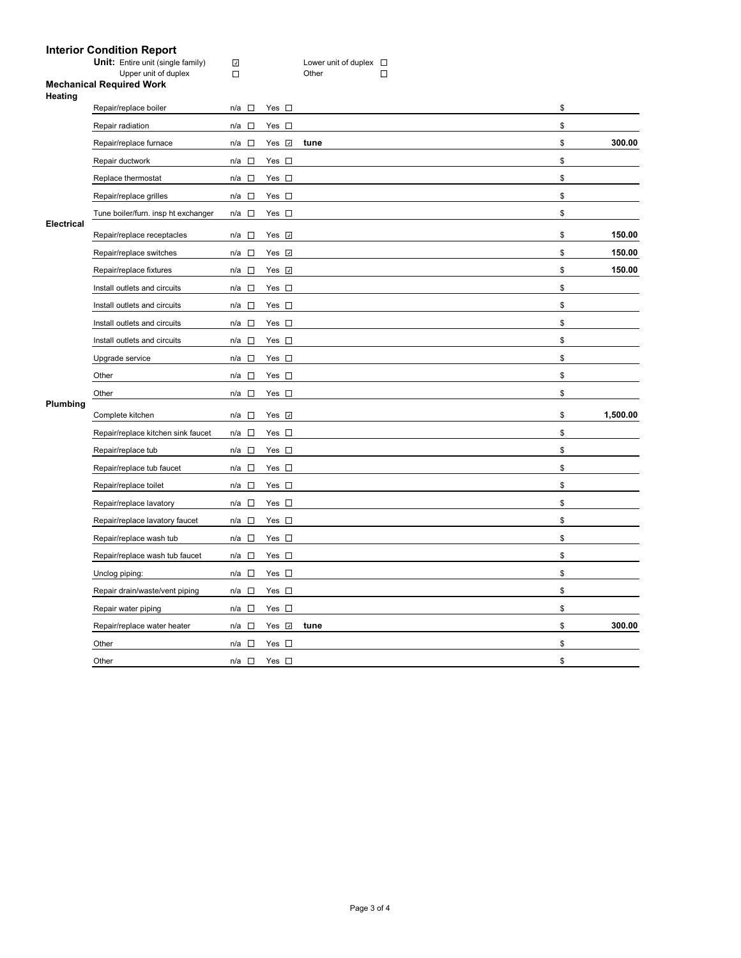|                   | <b>Interior Condition Report</b>                        |                      |               |                                |   |    |          |
|-------------------|---------------------------------------------------------|----------------------|---------------|--------------------------------|---|----|----------|
|                   | Unit: Entire unit (single family)                       | $\boldsymbol{J}$     |               | Lower unit of duplex $\square$ |   |    |          |
|                   | Upper unit of duplex<br><b>Mechanical Required Work</b> | $\Box$               |               | Other                          | П |    |          |
| Heating           |                                                         |                      |               |                                |   |    |          |
|                   | Repair/replace boiler                                   | n/a<br>$\sim$        | Yes $\square$ |                                |   | \$ |          |
|                   | Repair radiation                                        | $\sim$<br>n/a        | Yes $\square$ |                                |   | \$ |          |
|                   | Repair/replace furnace                                  | n/a<br>- 13          | Yes <b>☑</b>  | tune                           |   | \$ | 300.00   |
|                   | Repair ductwork                                         | $\mathcal{L}$<br>n/a | Yes $\square$ |                                |   | \$ |          |
|                   | Replace thermostat                                      | $n/a$ $\square$      | Yes $\square$ |                                |   | \$ |          |
|                   | Repair/replace grilles                                  | n/a<br>$\Box$        | Yes $\square$ |                                |   | \$ |          |
|                   | Tune boiler/furn. insp ht exchanger                     | $\sim$<br>n/a        | Yes $\square$ |                                |   | \$ |          |
| <b>Electrical</b> | Repair/replace receptacles                              | $n/a$ $\square$      | Yes <b>☑</b>  |                                |   | \$ | 150.00   |
|                   | Repair/replace switches                                 | $\sim$<br>n/a        | Yes <b>☑</b>  |                                |   | \$ | 150.00   |
|                   | Repair/replace fixtures                                 | $n/a$ $\square$      | Yes $\Box$    |                                |   | \$ | 150.00   |
|                   | Install outlets and circuits                            | n/a<br>$\sim$        | Yes $\square$ |                                |   | \$ |          |
|                   | Install outlets and circuits                            | $\sim$<br>n/a        | Yes $\square$ |                                |   | \$ |          |
|                   | Install outlets and circuits                            | $\sim$<br>n/a        | $\Box$<br>Yes |                                |   | \$ |          |
| Plumbing          | Install outlets and circuits                            | $n/a$ $\square$      | Yes $\square$ |                                |   | \$ |          |
|                   | Upgrade service                                         | $\sim$<br>n/a        | Yes $\square$ |                                |   | \$ |          |
|                   | Other                                                   | $\sim$<br>n/a        | Yes $\square$ |                                |   | \$ |          |
|                   | Other                                                   | $\sim$<br>n/a        | Yes $\square$ |                                |   | \$ |          |
|                   | Complete kitchen                                        | n/a<br>$\sim$        | Yes v         |                                |   | \$ | 1,500.00 |
|                   | Repair/replace kitchen sink faucet                      | $n/a$ $\square$      | Yes $\square$ |                                |   | \$ |          |
|                   | Repair/replace tub                                      | n/a<br><b>n</b>      | Yes $\square$ |                                |   | \$ |          |
|                   | Repair/replace tub faucet                               | $n/a$ $\square$      | Yes $\square$ |                                |   | \$ |          |

Repair/replace toilet n/a  $\Box$  Yes  $\Box$ Repair/replace lavatory **n/a**  $\Box$  Yes  $\Box$ Repair/replace lavatory faucet n/a  $\Box$  Yes  $\Box$ Repair/replace wash tub n/a  $\Box$  Yes  $\Box$ Repair/replace wash tub faucet n/a  $\Box$  Yes  $\Box$ Unclog piping: n/a  $\Box$  Yes  $\Box$ Repair drain/waste/vent piping n/a  $\Box$  Yes  $\Box$ Repair water piping n/a  $\Box$  Yes  $\Box$ 

Other  $n/a \Box$  Yes  $\Box$ Other  $n/a$   $\square$  Yes  $\square$ 

Repair/replace water heater **n/a □** Yes **□ tune blue and a contract to the state of the state of 300.00**